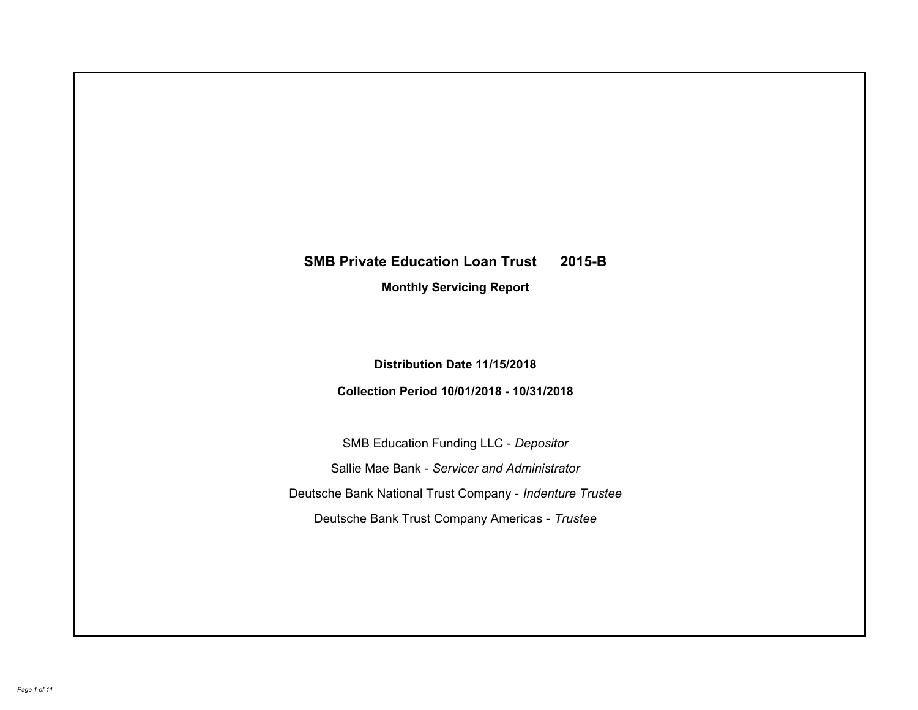# **SMB Private Education Loan Trust 2015-B Monthly Servicing Report**

# **Distribution Date 11/15/2018**

# **Collection Period 10/01/2018 - 10/31/2018**

SMB Education Funding LLC - *Depositor* Sallie Mae Bank - *Servicer and Administrator* Deutsche Bank National Trust Company - *Indenture Trustee* Deutsche Bank Trust Company Americas - *Trustee*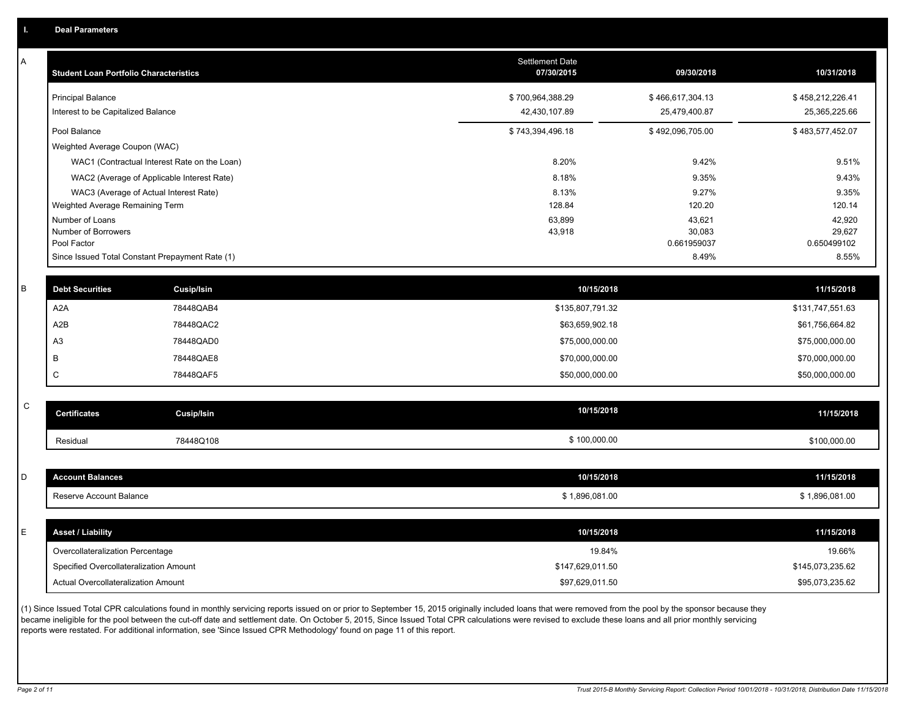A

| A           | <b>Student Loan Portfolio Characteristics</b> |                                                 | <b>Settlement Date</b><br>07/30/2015 | 09/30/2018       | 10/31/2018       |
|-------------|-----------------------------------------------|-------------------------------------------------|--------------------------------------|------------------|------------------|
|             | <b>Principal Balance</b>                      |                                                 | \$700,964,388.29                     | \$466,617,304.13 | \$458,212,226.41 |
|             | Interest to be Capitalized Balance            |                                                 | 42,430,107.89                        | 25,479,400.87    | 25,365,225.66    |
|             | Pool Balance                                  |                                                 | \$743,394,496.18                     | \$492,096,705.00 | \$483,577,452.07 |
|             | Weighted Average Coupon (WAC)                 |                                                 |                                      |                  |                  |
|             |                                               | WAC1 (Contractual Interest Rate on the Loan)    | 8.20%                                | 9.42%            | 9.51%            |
|             |                                               | WAC2 (Average of Applicable Interest Rate)      | 8.18%                                | 9.35%            | 9.43%            |
|             |                                               | WAC3 (Average of Actual Interest Rate)          | 8.13%                                | 9.27%            | 9.35%            |
|             | Weighted Average Remaining Term               |                                                 | 128.84                               | 120.20           | 120.14           |
|             | Number of Loans<br>Number of Borrowers        |                                                 | 63,899<br>43,918                     | 43,621<br>30,083 | 42,920<br>29,627 |
|             | Pool Factor                                   |                                                 |                                      | 0.661959037      | 0.650499102      |
|             |                                               | Since Issued Total Constant Prepayment Rate (1) |                                      | 8.49%            | 8.55%            |
| B           | <b>Debt Securities</b>                        |                                                 | 10/15/2018                           |                  | 11/15/2018       |
|             |                                               | Cusip/Isin                                      |                                      |                  |                  |
|             | A <sub>2</sub> A                              | 78448QAB4                                       | \$135,807,791.32                     |                  | \$131,747,551.63 |
|             | A2B                                           | 78448QAC2                                       | \$63,659,902.18                      |                  | \$61,756,664.82  |
|             | A <sub>3</sub>                                | 78448QAD0                                       | \$75,000,000.00                      |                  | \$75,000,000.00  |
|             | B                                             | 78448QAE8                                       | \$70,000,000.00                      |                  | \$70,000,000.00  |
|             | $\mathsf C$                                   | 78448QAF5                                       | \$50,000,000.00                      |                  | \$50,000,000.00  |
| $\mathsf C$ |                                               |                                                 |                                      |                  |                  |
|             | <b>Certificates</b>                           | <b>Cusip/Isin</b>                               | 10/15/2018                           |                  | 11/15/2018       |
|             | Residual                                      | 78448Q108                                       | \$100,000.00                         |                  | \$100,000.00     |
|             |                                               |                                                 |                                      |                  |                  |
| D           | <b>Account Balances</b>                       |                                                 | 10/15/2018                           |                  | 11/15/2018       |
|             | Reserve Account Balance                       |                                                 | \$1,896,081.00                       |                  | \$1,896,081.00   |
|             |                                               |                                                 |                                      |                  |                  |
| E           | <b>Asset / Liability</b>                      |                                                 | 10/15/2018                           |                  | 11/15/2018       |
|             | Overcollateralization Percentage              |                                                 | 19.84%                               |                  | 19.66%           |
|             | Specified Overcollateralization Amount        |                                                 | \$147,629,011.50                     |                  | \$145,073,235.62 |
|             | Actual Overcollateralization Amount           |                                                 | \$97,629,011.50                      |                  | \$95,073,235.62  |
|             |                                               |                                                 |                                      |                  |                  |

(1) Since Issued Total CPR calculations found in monthly servicing reports issued on or prior to September 15, 2015 originally included loans that were removed from the pool by the sponsor because they became ineligible for the pool between the cut-off date and settlement date. On October 5, 2015, Since Issued Total CPR calculations were revised to exclude these loans and all prior monthly servicing reports were restated. For additional information, see 'Since Issued CPR Methodology' found on page 11 of this report.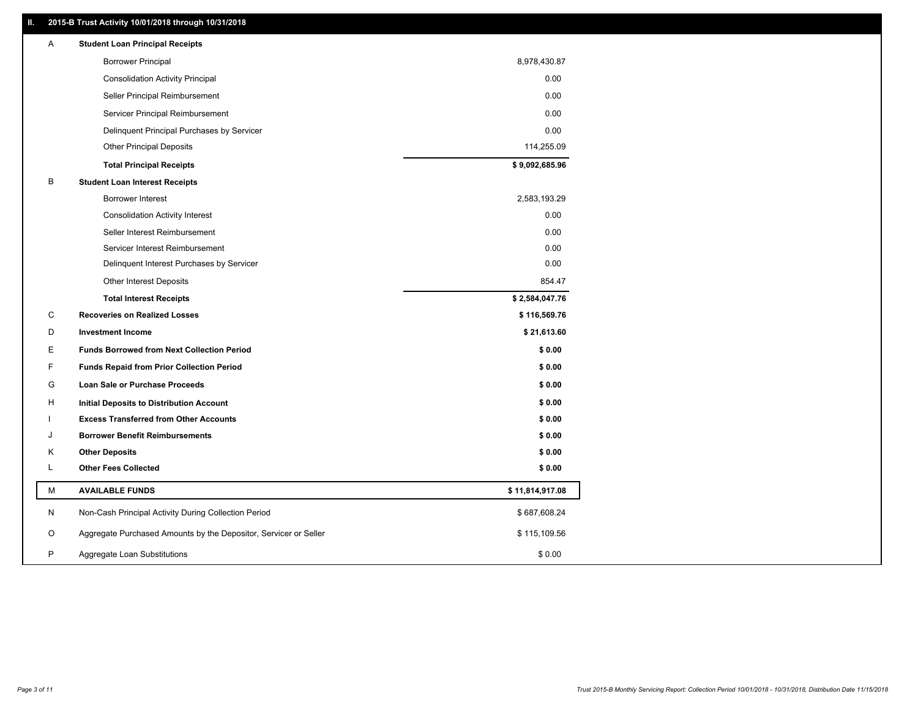### **II. 2015-B Trust Activity 10/01/2018 through 10/31/2018**

| Α | <b>Student Loan Principal Receipts</b>                           |                 |
|---|------------------------------------------------------------------|-----------------|
|   | <b>Borrower Principal</b>                                        | 8,978,430.87    |
|   | <b>Consolidation Activity Principal</b>                          | 0.00            |
|   | Seller Principal Reimbursement                                   | 0.00            |
|   | Servicer Principal Reimbursement                                 | 0.00            |
|   | Delinquent Principal Purchases by Servicer                       | 0.00            |
|   | <b>Other Principal Deposits</b>                                  | 114,255.09      |
|   | <b>Total Principal Receipts</b>                                  | \$9,092,685.96  |
| В | <b>Student Loan Interest Receipts</b>                            |                 |
|   | <b>Borrower Interest</b>                                         | 2,583,193.29    |
|   | <b>Consolidation Activity Interest</b>                           | 0.00            |
|   | Seller Interest Reimbursement                                    | 0.00            |
|   | Servicer Interest Reimbursement                                  | 0.00            |
|   | Delinquent Interest Purchases by Servicer                        | 0.00            |
|   | Other Interest Deposits                                          | 854.47          |
|   | <b>Total Interest Receipts</b>                                   | \$2,584,047.76  |
| С | <b>Recoveries on Realized Losses</b>                             | \$116,569.76    |
| D | <b>Investment Income</b>                                         | \$21,613.60     |
| Е | <b>Funds Borrowed from Next Collection Period</b>                | \$0.00          |
| F | <b>Funds Repaid from Prior Collection Period</b>                 | \$0.00          |
| G | Loan Sale or Purchase Proceeds                                   | \$0.00          |
| H | Initial Deposits to Distribution Account                         | \$0.00          |
|   | <b>Excess Transferred from Other Accounts</b>                    | \$0.00          |
| J | <b>Borrower Benefit Reimbursements</b>                           | \$0.00          |
| Κ | <b>Other Deposits</b>                                            | \$0.00          |
| L | <b>Other Fees Collected</b>                                      | \$0.00          |
| М | <b>AVAILABLE FUNDS</b>                                           | \$11,814,917.08 |
| N | Non-Cash Principal Activity During Collection Period             | \$687,608.24    |
| O | Aggregate Purchased Amounts by the Depositor, Servicer or Seller | \$115,109.56    |
| P | Aggregate Loan Substitutions                                     | \$0.00          |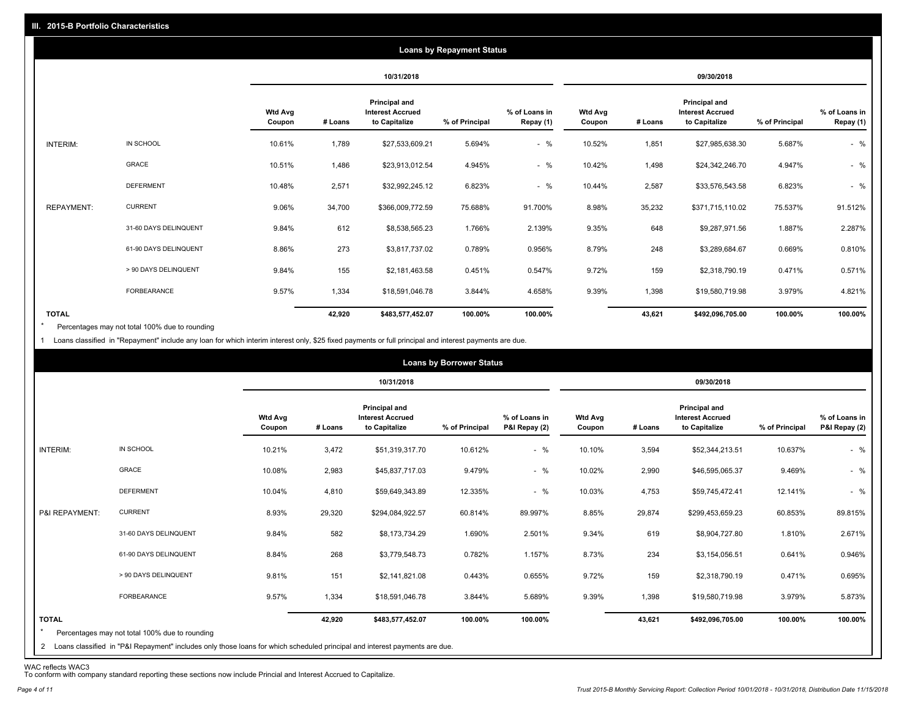|                   |                       |                          |         |                                                           | <b>Loans by Repayment Status</b> |                            |                          |         |                                                           |                |                            |
|-------------------|-----------------------|--------------------------|---------|-----------------------------------------------------------|----------------------------------|----------------------------|--------------------------|---------|-----------------------------------------------------------|----------------|----------------------------|
|                   |                       |                          |         | 10/31/2018                                                |                                  |                            |                          |         | 09/30/2018                                                |                |                            |
|                   |                       | <b>Wtd Avg</b><br>Coupon | # Loans | Principal and<br><b>Interest Accrued</b><br>to Capitalize | % of Principal                   | % of Loans in<br>Repay (1) | <b>Wtd Avg</b><br>Coupon | # Loans | Principal and<br><b>Interest Accrued</b><br>to Capitalize | % of Principal | % of Loans in<br>Repay (1) |
| INTERIM:          | IN SCHOOL             | 10.61%                   | 1,789   | \$27,533,609.21                                           | 5.694%                           | $-$ %                      | 10.52%                   | 1,851   | \$27,985,638.30                                           | 5.687%         | $-$ %                      |
|                   | GRACE                 | 10.51%                   | 1,486   | \$23,913,012.54                                           | 4.945%                           | $-$ %                      | 10.42%                   | 1,498   | \$24,342,246.70                                           | 4.947%         | $-$ %                      |
|                   | <b>DEFERMENT</b>      | 10.48%                   | 2,571   | \$32,992,245.12                                           | 6.823%                           | $-$ %                      | 10.44%                   | 2,587   | \$33,576,543.58                                           | 6.823%         | $-$ %                      |
| <b>REPAYMENT:</b> | <b>CURRENT</b>        | 9.06%                    | 34,700  | \$366,009,772.59                                          | 75.688%                          | 91.700%                    | 8.98%                    | 35,232  | \$371,715,110.02                                          | 75.537%        | 91.512%                    |
|                   | 31-60 DAYS DELINQUENT | 9.84%                    | 612     | \$8,538,565.23                                            | 1.766%                           | 2.139%                     | 9.35%                    | 648     | \$9,287,971.56                                            | 1.887%         | 2.287%                     |
|                   | 61-90 DAYS DELINQUENT | 8.86%                    | 273     | \$3,817,737.02                                            | 0.789%                           | 0.956%                     | 8.79%                    | 248     | \$3,289,684.67                                            | 0.669%         | 0.810%                     |
|                   | > 90 DAYS DELINQUENT  | 9.84%                    | 155     | \$2,181,463.58                                            | 0.451%                           | 0.547%                     | 9.72%                    | 159     | \$2,318,790.19                                            | 0.471%         | 0.571%                     |
|                   | FORBEARANCE           | 9.57%                    | 1,334   | \$18,591,046.78                                           | 3.844%                           | 4.658%                     | 9.39%                    | 1,398   | \$19,580,719.98                                           | 3.979%         | 4.821%                     |
| <b>TOTAL</b>      |                       |                          | 42,920  | \$483,577,452.07                                          | 100.00%                          | 100.00%                    |                          | 43,621  | \$492,096,705.00                                          | 100.00%        | 100.00%                    |

Percentages may not total 100% due to rounding  $\star$ 

1 Loans classified in "Repayment" include any loan for which interim interest only, \$25 fixed payments or full principal and interest payments are due.

|                         |                                                                                                                              |                          |         |                                                           | <b>Loans by Borrower Status</b> |                                |                          |         |                                                                  |                |                                |
|-------------------------|------------------------------------------------------------------------------------------------------------------------------|--------------------------|---------|-----------------------------------------------------------|---------------------------------|--------------------------------|--------------------------|---------|------------------------------------------------------------------|----------------|--------------------------------|
|                         |                                                                                                                              |                          |         | 10/31/2018                                                |                                 |                                |                          |         | 09/30/2018                                                       |                |                                |
|                         |                                                                                                                              | <b>Wtd Avg</b><br>Coupon | # Loans | Principal and<br><b>Interest Accrued</b><br>to Capitalize | % of Principal                  | % of Loans in<br>P&I Repay (2) | <b>Wtd Avg</b><br>Coupon | # Loans | <b>Principal and</b><br><b>Interest Accrued</b><br>to Capitalize | % of Principal | % of Loans in<br>P&I Repay (2) |
| INTERIM:                | IN SCHOOL                                                                                                                    | 10.21%                   | 3,472   | \$51,319,317.70                                           | 10.612%                         | $-$ %                          | 10.10%                   | 3,594   | \$52,344,213.51                                                  | 10.637%        | $-$ %                          |
|                         | <b>GRACE</b>                                                                                                                 | 10.08%                   | 2,983   | \$45,837,717.03                                           | 9.479%                          | $-$ %                          | 10.02%                   | 2,990   | \$46,595,065.37                                                  | 9.469%         | $-$ %                          |
|                         | <b>DEFERMENT</b>                                                                                                             | 10.04%                   | 4,810   | \$59,649,343.89                                           | 12.335%                         | $-$ %                          | 10.03%                   | 4,753   | \$59,745,472.41                                                  | 12.141%        | $-$ %                          |
| P&I REPAYMENT:          | <b>CURRENT</b>                                                                                                               | 8.93%                    | 29,320  | \$294,084,922.57                                          | 60.814%                         | 89.997%                        | 8.85%                    | 29,874  | \$299,453,659.23                                                 | 60.853%        | 89.815%                        |
|                         | 31-60 DAYS DELINQUENT                                                                                                        | 9.84%                    | 582     | \$8,173,734.29                                            | 1.690%                          | 2.501%                         | 9.34%                    | 619     | \$8,904,727.80                                                   | 1.810%         | 2.671%                         |
|                         | 61-90 DAYS DELINQUENT                                                                                                        | 8.84%                    | 268     | \$3,779,548.73                                            | 0.782%                          | 1.157%                         | 8.73%                    | 234     | \$3,154,056.51                                                   | 0.641%         | 0.946%                         |
|                         | > 90 DAYS DELINQUENT                                                                                                         | 9.81%                    | 151     | \$2,141,821.08                                            | 0.443%                          | 0.655%                         | 9.72%                    | 159     | \$2,318,790.19                                                   | 0.471%         | 0.695%                         |
|                         | FORBEARANCE                                                                                                                  | 9.57%                    | 1,334   | \$18,591,046.78                                           | 3.844%                          | 5.689%                         | 9.39%                    | 1,398   | \$19,580,719.98                                                  | 3.979%         | 5.873%                         |
| <b>TOTAL</b><br>$\star$ | Percentages may not total 100% due to rounding                                                                               |                          | 42,920  | \$483,577,452.07                                          | 100.00%                         | 100.00%                        |                          | 43,621  | \$492,096,705.00                                                 | 100.00%        | 100.00%                        |
|                         | 2 Loans classified in "P&I Repayment" includes only those loans for which scheduled principal and interest payments are due. |                          |         |                                                           |                                 |                                |                          |         |                                                                  |                |                                |

WAC reflects WAC3 To conform with company standard reporting these sections now include Princial and Interest Accrued to Capitalize.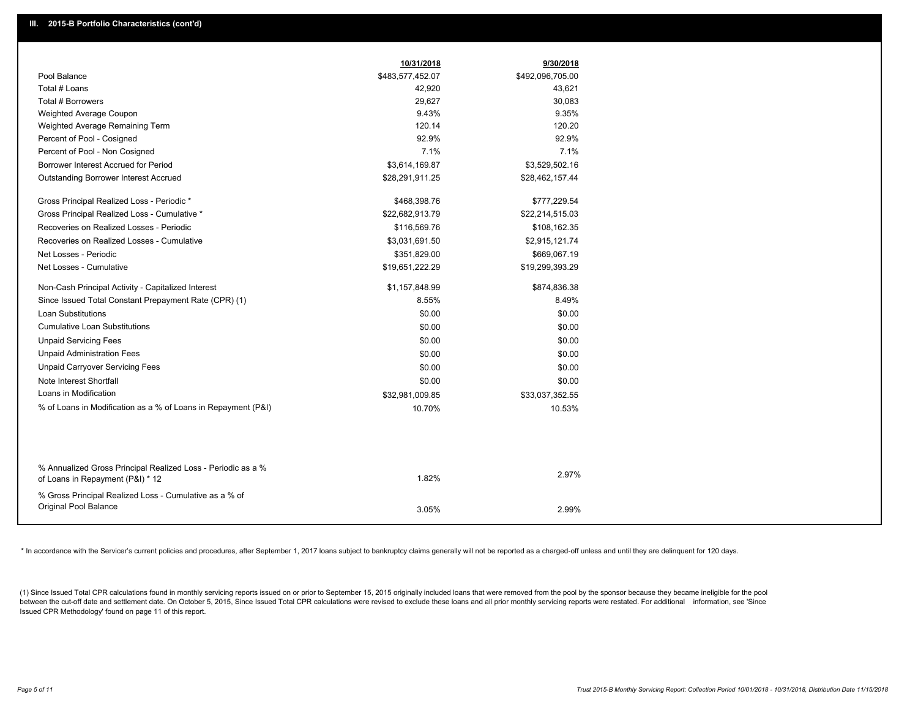|                                                                                                  | 10/31/2018       | 9/30/2018        |
|--------------------------------------------------------------------------------------------------|------------------|------------------|
| Pool Balance                                                                                     | \$483,577,452.07 | \$492,096,705.00 |
| Total # Loans                                                                                    | 42,920           | 43,621           |
| Total # Borrowers                                                                                | 29,627           | 30,083           |
| Weighted Average Coupon                                                                          | 9.43%            | 9.35%            |
| Weighted Average Remaining Term                                                                  | 120.14           | 120.20           |
| Percent of Pool - Cosigned                                                                       | 92.9%            | 92.9%            |
| Percent of Pool - Non Cosigned                                                                   | 7.1%             | 7.1%             |
| Borrower Interest Accrued for Period                                                             | \$3,614,169.87   | \$3,529,502.16   |
| Outstanding Borrower Interest Accrued                                                            | \$28,291,911.25  | \$28,462,157.44  |
| Gross Principal Realized Loss - Periodic *                                                       | \$468,398.76     | \$777,229.54     |
| Gross Principal Realized Loss - Cumulative *                                                     | \$22,682,913.79  | \$22,214,515.03  |
| Recoveries on Realized Losses - Periodic                                                         | \$116,569.76     | \$108,162.35     |
| Recoveries on Realized Losses - Cumulative                                                       | \$3,031,691.50   | \$2,915,121.74   |
| Net Losses - Periodic                                                                            | \$351,829.00     | \$669,067.19     |
| Net Losses - Cumulative                                                                          | \$19,651,222.29  | \$19,299,393.29  |
| Non-Cash Principal Activity - Capitalized Interest                                               | \$1,157,848.99   | \$874,836.38     |
| Since Issued Total Constant Prepayment Rate (CPR) (1)                                            | 8.55%            | 8.49%            |
| <b>Loan Substitutions</b>                                                                        | \$0.00           | \$0.00           |
| <b>Cumulative Loan Substitutions</b>                                                             | \$0.00           | \$0.00           |
| <b>Unpaid Servicing Fees</b>                                                                     | \$0.00           | \$0.00           |
| <b>Unpaid Administration Fees</b>                                                                | \$0.00           | \$0.00           |
| <b>Unpaid Carryover Servicing Fees</b>                                                           | \$0.00           | \$0.00           |
| Note Interest Shortfall                                                                          | \$0.00           | \$0.00           |
| Loans in Modification                                                                            | \$32,981,009.85  | \$33,037,352.55  |
| % of Loans in Modification as a % of Loans in Repayment (P&I)                                    | 10.70%           | 10.53%           |
|                                                                                                  |                  |                  |
|                                                                                                  |                  |                  |
| % Annualized Gross Principal Realized Loss - Periodic as a %<br>of Loans in Repayment (P&I) * 12 | 1.82%            | 2.97%            |
| % Gross Principal Realized Loss - Cumulative as a % of                                           |                  |                  |
| Original Pool Balance                                                                            | 3.05%            | 2.99%            |
|                                                                                                  |                  |                  |

\* In accordance with the Servicer's current policies and procedures, after September 1, 2017 loans subject to bankruptcy claims generally will not be reported as a charged-off unless and until they are delinquent for 120 d

(1) Since Issued Total CPR calculations found in monthly servicing reports issued on or prior to September 15, 2015 originally included loans that were removed from the pool by the sponsor because they became ineligible fo between the cut-off date and settlement date. On October 5, 2015, Since Issued Total CPR calculations were revised to exclude these loans and all prior monthly servicing reports were restated. For additional information, s Issued CPR Methodology' found on page 11 of this report.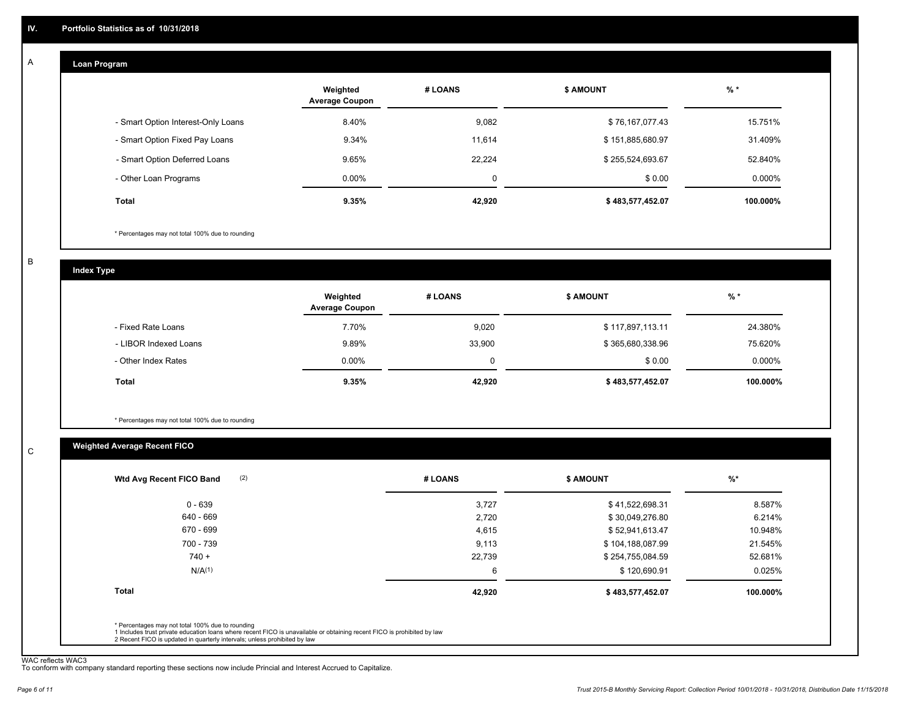#### **Loan Program**  A

|                                    | Weighted<br><b>Average Coupon</b> | # LOANS | <b>\$ AMOUNT</b> | $%$ *     |
|------------------------------------|-----------------------------------|---------|------------------|-----------|
| - Smart Option Interest-Only Loans | 8.40%                             | 9,082   | \$76,167,077.43  | 15.751%   |
| - Smart Option Fixed Pay Loans     | 9.34%                             | 11.614  | \$151,885,680.97 | 31.409%   |
| - Smart Option Deferred Loans      | 9.65%                             | 22.224  | \$255,524,693.67 | 52.840%   |
| - Other Loan Programs              | $0.00\%$                          | 0       | \$0.00           | $0.000\%$ |
| <b>Total</b>                       | 9.35%                             | 42,920  | \$483,577,452.07 | 100.000%  |

\* Percentages may not total 100% due to rounding

B

C

**Index Type**

|                       | Weighted<br><b>Average Coupon</b> | # LOANS | <b>\$ AMOUNT</b> | $%$ *    |
|-----------------------|-----------------------------------|---------|------------------|----------|
| - Fixed Rate Loans    | 7.70%                             | 9,020   | \$117,897,113.11 | 24.380%  |
| - LIBOR Indexed Loans | 9.89%                             | 33,900  | \$365,680,338.96 | 75.620%  |
| - Other Index Rates   | $0.00\%$                          |         | \$0.00           | 0.000%   |
| Total                 | 9.35%                             | 42,920  | \$483,577,452.07 | 100.000% |

\* Percentages may not total 100% due to rounding

### **Weighted Average Recent FICO**

| 0 - 639<br>640 - 669 | 3,727  | \$41,522,698.31  | 8.587%   |
|----------------------|--------|------------------|----------|
|                      |        |                  |          |
|                      | 2,720  | \$30,049,276.80  | 6.214%   |
| 670 - 699            | 4,615  | \$52,941,613.47  | 10.948%  |
| 700 - 739            | 9,113  | \$104,188,087.99 | 21.545%  |
| $740 +$              | 22,739 | \$254,755,084.59 | 52.681%  |
| N/A <sup>(1)</sup>   | 6      | \$120,690.91     | 0.025%   |
| <b>Total</b>         | 42,920 | \$483,577,452.07 | 100.000% |

WAC reflects WAC3 To conform with company standard reporting these sections now include Princial and Interest Accrued to Capitalize.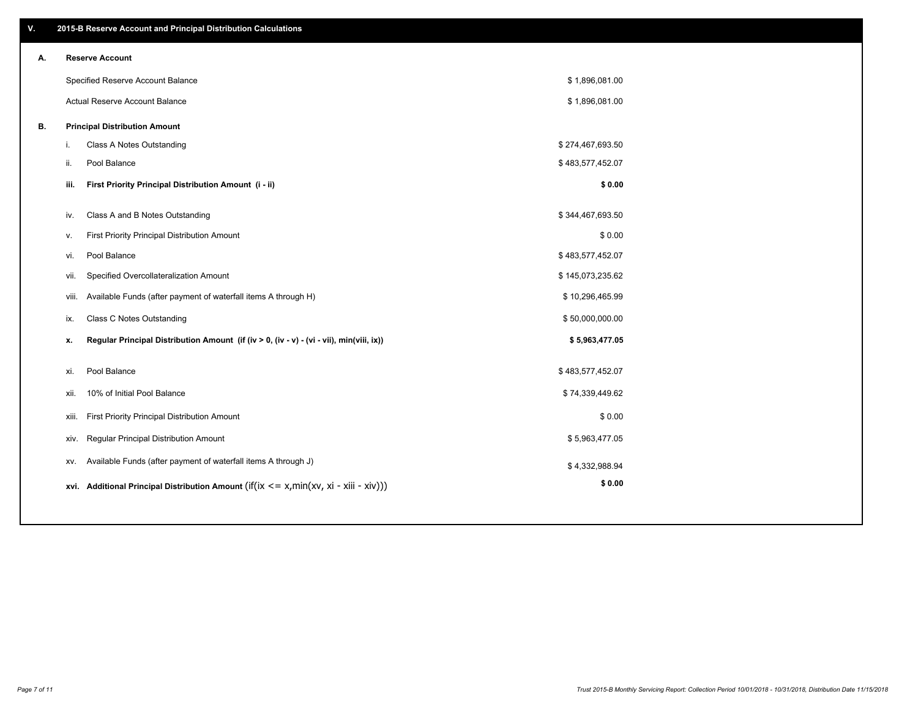| V. |     | 2015-B Reserve Account and Principal Distribution Calculations                             |                  |  |
|----|-----|--------------------------------------------------------------------------------------------|------------------|--|
| А. |     | <b>Reserve Account</b>                                                                     |                  |  |
|    |     | Specified Reserve Account Balance                                                          | \$1,896,081.00   |  |
|    |     | Actual Reserve Account Balance                                                             | \$1,896,081.00   |  |
| В. |     | <b>Principal Distribution Amount</b>                                                       |                  |  |
|    | j.  | Class A Notes Outstanding                                                                  | \$274,467,693.50 |  |
|    | ii. | Pool Balance                                                                               | \$483,577,452.07 |  |
|    |     | First Priority Principal Distribution Amount (i - ii)<br>iii.                              | \$0.00           |  |
|    |     |                                                                                            |                  |  |
|    | iv. | Class A and B Notes Outstanding                                                            | \$344,467,693.50 |  |
|    | v.  | First Priority Principal Distribution Amount                                               | \$0.00           |  |
|    | vi. | Pool Balance                                                                               | \$483,577,452.07 |  |
|    |     | Specified Overcollateralization Amount<br>vii.                                             | \$145,073,235.62 |  |
|    |     | Available Funds (after payment of waterfall items A through H)<br>viii.                    | \$10,296,465.99  |  |
|    | ix. | <b>Class C Notes Outstanding</b>                                                           | \$50,000,000.00  |  |
|    | x.  | Regular Principal Distribution Amount (if (iv > 0, (iv - v) - (vi - vii), min(viii, ix))   | \$5,963,477.05   |  |
|    | xi. | Pool Balance                                                                               | \$483,577,452.07 |  |
|    |     | 10% of Initial Pool Balance<br>xii.                                                        | \$74,339,449.62  |  |
|    |     |                                                                                            |                  |  |
|    |     | First Priority Principal Distribution Amount<br>xiii.                                      | \$0.00           |  |
|    |     | Regular Principal Distribution Amount<br>xiv.                                              | \$5,963,477.05   |  |
|    |     | Available Funds (after payment of waterfall items A through J)<br>XV.                      | \$4,332,988.94   |  |
|    |     | xvi. Additional Principal Distribution Amount (if(ix $\lt$ = x, min(xv, xi - xiii - xiv))) | \$0.00           |  |
|    |     |                                                                                            |                  |  |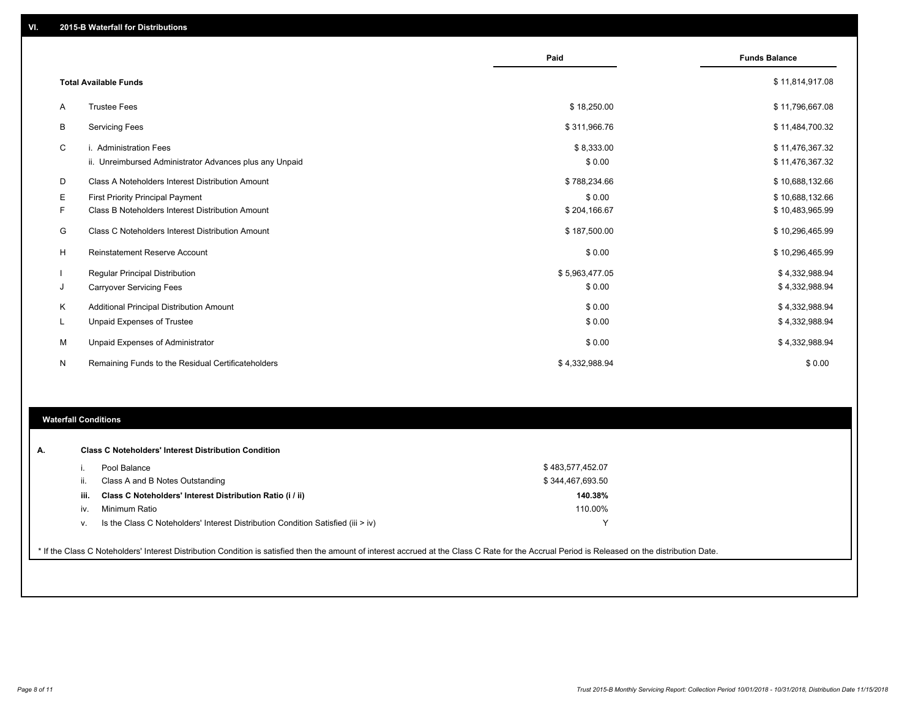|    |                                                         | Paid           | <b>Funds Balance</b> |
|----|---------------------------------------------------------|----------------|----------------------|
|    | <b>Total Available Funds</b>                            |                | \$11,814,917.08      |
| A  | <b>Trustee Fees</b>                                     | \$18,250.00    | \$11,796,667.08      |
| B  | <b>Servicing Fees</b>                                   | \$311,966.76   | \$11,484,700.32      |
| C  | i. Administration Fees                                  | \$8,333.00     | \$11,476,367.32      |
|    | ii. Unreimbursed Administrator Advances plus any Unpaid | \$0.00         | \$11,476,367.32      |
| D  | Class A Noteholders Interest Distribution Amount        | \$788,234.66   | \$10,688,132.66      |
| Е  | First Priority Principal Payment                        | \$0.00         | \$10,688,132.66      |
| F. | Class B Noteholders Interest Distribution Amount        | \$204,166.67   | \$10,483,965.99      |
| G  | Class C Noteholders Interest Distribution Amount        | \$187,500.00   | \$10,296,465.99      |
| H  | <b>Reinstatement Reserve Account</b>                    | \$0.00         | \$10,296,465.99      |
|    | Regular Principal Distribution                          | \$5,963,477.05 | \$4,332,988.94       |
| J  | <b>Carryover Servicing Fees</b>                         | \$0.00         | \$4,332,988.94       |
| Κ  | Additional Principal Distribution Amount                | \$0.00         | \$4,332,988.94       |
| L  | <b>Unpaid Expenses of Trustee</b>                       | \$0.00         | \$4,332,988.94       |
| M  | <b>Unpaid Expenses of Administrator</b>                 | \$0.00         | \$4,332,988.94       |
| N  | Remaining Funds to the Residual Certificateholders      | \$4,332,988.94 | \$0.00               |
|    |                                                         |                |                      |

#### **Waterfall Conditions**

|      | Pool Balance                                                                     | \$483,577,452.07 |  |
|------|----------------------------------------------------------------------------------|------------------|--|
| ii.  | Class A and B Notes Outstanding                                                  | \$344,467,693.50 |  |
| iii. | Class C Noteholders' Interest Distribution Ratio (i / ii)                        | 140.38%          |  |
| iv.  | Minimum Ratio                                                                    | 110.00%          |  |
|      | Is the Class C Noteholders' Interest Distribution Condition Satisfied (iii > iv) | $\checkmark$     |  |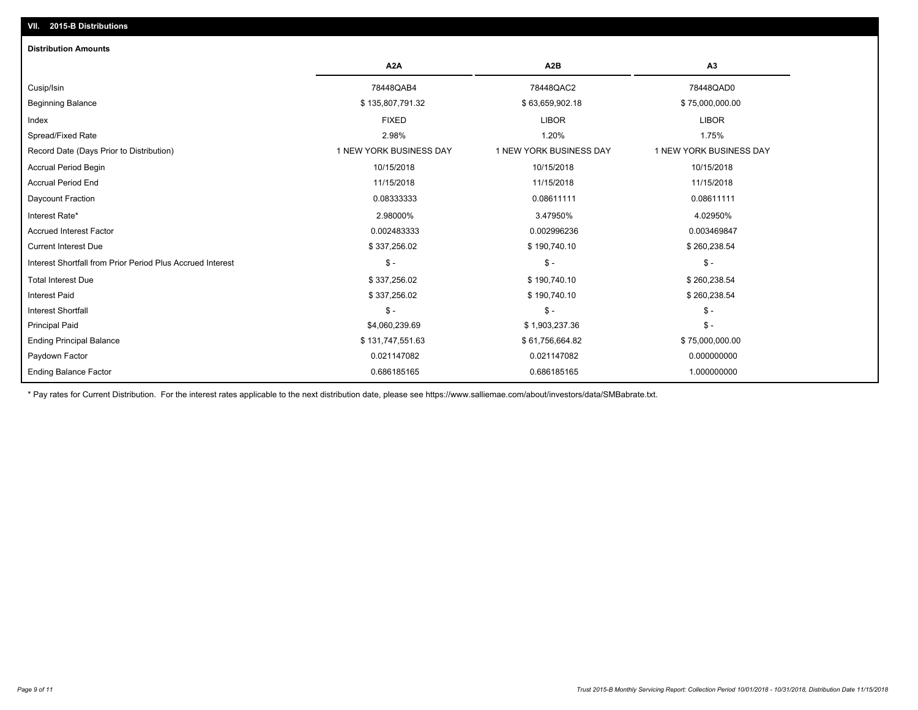## **VII. 2015-B Distributions**

| <b>Distribution Amounts</b>                                |                         |                         |                         |
|------------------------------------------------------------|-------------------------|-------------------------|-------------------------|
|                                                            | A <sub>2</sub> A        | A <sub>2</sub> B        | A3                      |
| Cusip/Isin                                                 | 78448QAB4               | 78448QAC2               | 78448QAD0               |
| <b>Beginning Balance</b>                                   | \$135,807,791.32        | \$63,659,902.18         | \$75,000,000.00         |
| Index                                                      | <b>FIXED</b>            | <b>LIBOR</b>            | <b>LIBOR</b>            |
| Spread/Fixed Rate                                          | 2.98%                   | 1.20%                   | 1.75%                   |
| Record Date (Days Prior to Distribution)                   | 1 NEW YORK BUSINESS DAY | 1 NEW YORK BUSINESS DAY | 1 NEW YORK BUSINESS DAY |
| Accrual Period Begin                                       | 10/15/2018              | 10/15/2018              | 10/15/2018              |
| <b>Accrual Period End</b>                                  | 11/15/2018              | 11/15/2018              | 11/15/2018              |
| Daycount Fraction                                          | 0.08333333              | 0.08611111              | 0.08611111              |
| Interest Rate*                                             | 2.98000%                | 3.47950%                | 4.02950%                |
| <b>Accrued Interest Factor</b>                             | 0.002483333             | 0.002996236             | 0.003469847             |
| <b>Current Interest Due</b>                                | \$337,256.02            | \$190,740.10            | \$260,238.54            |
| Interest Shortfall from Prior Period Plus Accrued Interest | $\frac{1}{2}$           | $$ -$                   | $$ -$                   |
| <b>Total Interest Due</b>                                  | \$337,256.02            | \$190,740.10            | \$260,238.54            |
| Interest Paid                                              | \$337,256.02            | \$190,740.10            | \$260,238.54            |
| Interest Shortfall                                         | $\mathsf{\$}$ -         | $$ -$                   | $\mathsf{\$}$ -         |
| <b>Principal Paid</b>                                      | \$4,060,239.69          | \$1,903,237.36          | $$ -$                   |
| <b>Ending Principal Balance</b>                            | \$131,747,551.63        | \$61,756,664.82         | \$75,000,000.00         |
| Paydown Factor                                             | 0.021147082             | 0.021147082             | 0.000000000             |
| <b>Ending Balance Factor</b>                               | 0.686185165             | 0.686185165             | 1.000000000             |

\* Pay rates for Current Distribution. For the interest rates applicable to the next distribution date, please see https://www.salliemae.com/about/investors/data/SMBabrate.txt.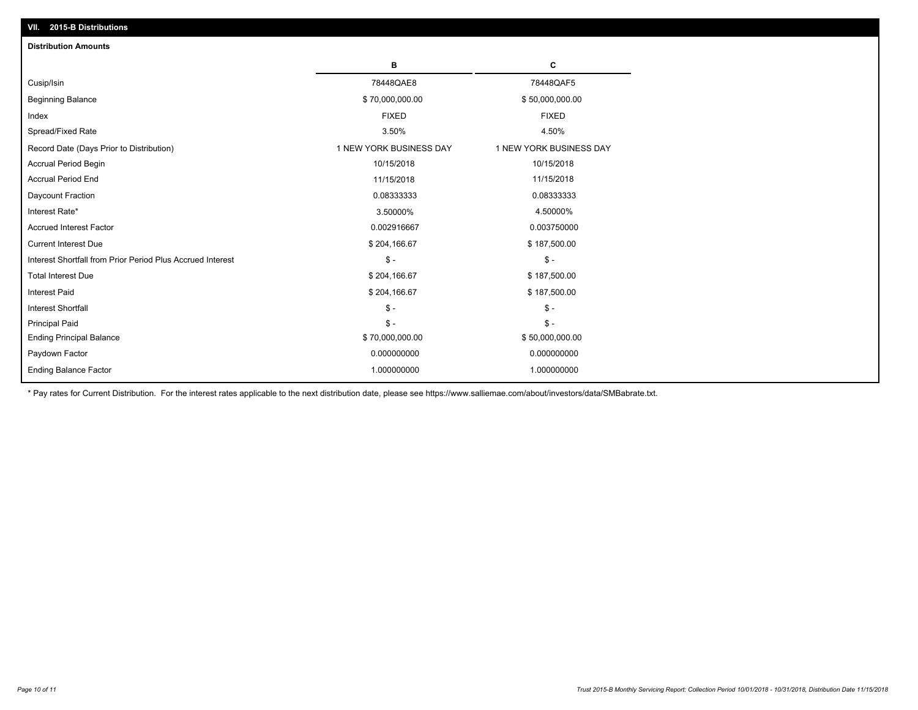| <b>Distribution Amounts</b>                                |                         |                         |
|------------------------------------------------------------|-------------------------|-------------------------|
|                                                            | в                       | C                       |
| Cusip/Isin                                                 | 78448QAE8               | 78448QAF5               |
| <b>Beginning Balance</b>                                   | \$70,000,000.00         | \$50,000,000.00         |
| Index                                                      | <b>FIXED</b>            | <b>FIXED</b>            |
| Spread/Fixed Rate                                          | 3.50%                   | 4.50%                   |
| Record Date (Days Prior to Distribution)                   | 1 NEW YORK BUSINESS DAY | 1 NEW YORK BUSINESS DAY |
| <b>Accrual Period Begin</b>                                | 10/15/2018              | 10/15/2018              |
| <b>Accrual Period End</b>                                  | 11/15/2018              | 11/15/2018              |
| Daycount Fraction                                          | 0.08333333              | 0.08333333              |
| Interest Rate*                                             | 3.50000%                | 4.50000%                |
| <b>Accrued Interest Factor</b>                             | 0.002916667             | 0.003750000             |
| <b>Current Interest Due</b>                                | \$204,166.67            | \$187,500.00            |
| Interest Shortfall from Prior Period Plus Accrued Interest | $\mathsf{\$}$ -         | $\mathsf{\$}$ -         |
| <b>Total Interest Due</b>                                  | \$204,166.67            | \$187,500.00            |
| Interest Paid                                              | \$204,166.67            | \$187,500.00            |
| <b>Interest Shortfall</b>                                  | $\mathsf{\$}$ -         | $\mathsf{\$}$ -         |
| <b>Principal Paid</b>                                      | $\mathsf{\$}$ -         | $\mathsf{\$}$ -         |
| <b>Ending Principal Balance</b>                            | \$70,000,000.00         | \$50,000,000.00         |
| Paydown Factor                                             | 0.000000000             | 0.000000000             |
| <b>Ending Balance Factor</b>                               | 1.000000000             | 1.000000000             |

\* Pay rates for Current Distribution. For the interest rates applicable to the next distribution date, please see https://www.salliemae.com/about/investors/data/SMBabrate.txt.

**VII. 2015-B Distributions**